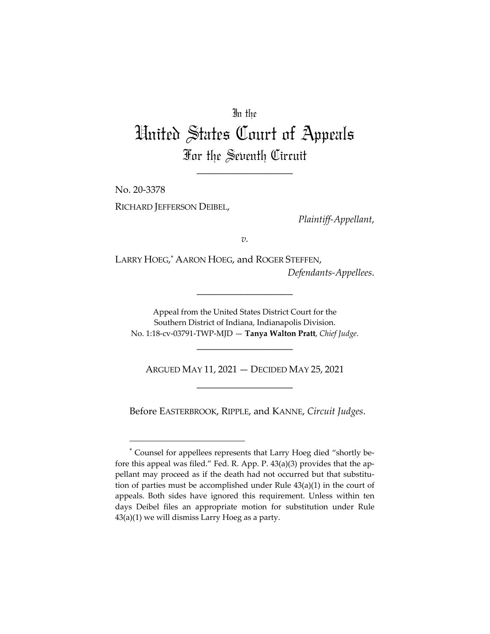## In the

## United States Court of Appeals For the Seventh Circuit

\_\_\_\_\_\_\_\_\_\_\_\_\_\_\_\_\_\_\_\_

No. 20-3378 RICHARD JEFFERSON DEIBEL,

*Plaintiff-Appellant*,

*v.*

LARRY HOEG, \* AARON HOEG, and ROGER STEFFEN, *Defendants-Appellees*.

Appeal from the United States District Court for the Southern District of Indiana, Indianapolis Division. No. 1:18-cv-03791-TWP-MJD — **Tanya Walton Pratt**, *Chief Judge*.

\_\_\_\_\_\_\_\_\_\_\_\_\_\_\_\_\_\_\_\_

\_\_\_\_\_\_\_\_\_\_\_\_\_\_\_\_\_\_\_\_

ARGUED MAY 11, 2021 — DECIDED MAY 25, 2021 \_\_\_\_\_\_\_\_\_\_\_\_\_\_\_\_\_\_\_\_

Before EASTERBROOK, RIPPLE, and KANNE, *Circuit Judges*.

<sup>\*</sup> Counsel for appellees represents that Larry Hoeg died "shortly before this appeal was filed." Fed. R. App. P. 43(a)(3) provides that the appellant may proceed as if the death had not occurred but that substitution of parties must be accomplished under Rule 43(a)(1) in the court of appeals. Both sides have ignored this requirement. Unless within ten days Deibel files an appropriate motion for substitution under Rule 43(a)(1) we will dismiss Larry Hoeg as a party.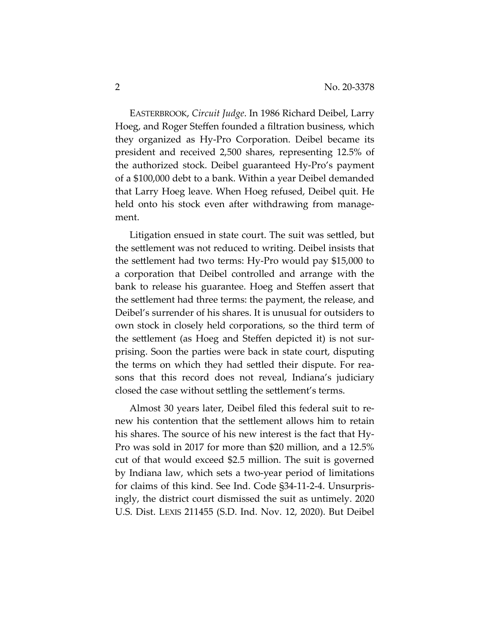EASTERBROOK, *Circuit Judge*. In 1986 Richard Deibel, Larry Hoeg, and Roger Steffen founded a filtration business, which they organized as Hy-Pro Corporation. Deibel became its president and received 2,500 shares, representing 12.5% of the authorized stock. Deibel guaranteed Hy-Pro's payment of a \$100,000 debt to a bank. Within a year Deibel demanded that Larry Hoeg leave. When Hoeg refused, Deibel quit. He held onto his stock even after withdrawing from management.

Litigation ensued in state court. The suit was settled, but the settlement was not reduced to writing. Deibel insists that the settlement had two terms: Hy-Pro would pay \$15,000 to a corporation that Deibel controlled and arrange with the bank to release his guarantee. Hoeg and Steffen assert that the settlement had three terms: the payment, the release, and Deibel's surrender of his shares. It is unusual for outsiders to own stock in closely held corporations, so the third term of the settlement (as Hoeg and Steffen depicted it) is not surprising. Soon the parties were back in state court, disputing the terms on which they had settled their dispute. For reasons that this record does not reveal, Indiana's judiciary closed the case without settling the settlement's terms.

Almost 30 years later, Deibel filed this federal suit to renew his contention that the settlement allows him to retain his shares. The source of his new interest is the fact that Hy-Pro was sold in 2017 for more than \$20 million, and a 12.5% cut of that would exceed \$2.5 million. The suit is governed by Indiana law, which sets a two-year period of limitations for claims of this kind. See Ind. Code §34-11-2-4. Unsurprisingly, the district court dismissed the suit as untimely. 2020 U.S. Dist. LEXIS 211455 (S.D. Ind. Nov. 12, 2020). But Deibel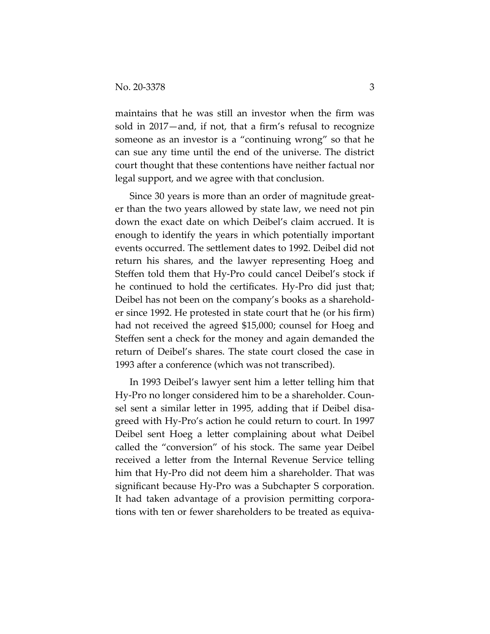maintains that he was still an investor when the firm was sold in 2017—and, if not, that a firm's refusal to recognize someone as an investor is a "continuing wrong" so that he can sue any time until the end of the universe. The district court thought that these contentions have neither factual nor legal support, and we agree with that conclusion.

Since 30 years is more than an order of magnitude greater than the two years allowed by state law, we need not pin down the exact date on which Deibel's claim accrued. It is enough to identify the years in which potentially important events occurred. The settlement dates to 1992. Deibel did not return his shares, and the lawyer representing Hoeg and Steffen told them that Hy-Pro could cancel Deibel's stock if he continued to hold the certificates. Hy-Pro did just that; Deibel has not been on the company's books as a shareholder since 1992. He protested in state court that he (or his firm) had not received the agreed \$15,000; counsel for Hoeg and Steffen sent a check for the money and again demanded the return of Deibel's shares. The state court closed the case in 1993 after a conference (which was not transcribed).

In 1993 Deibel's lawyer sent him a letter telling him that Hy-Pro no longer considered him to be a shareholder. Counsel sent a similar letter in 1995, adding that if Deibel disagreed with Hy-Pro's action he could return to court. In 1997 Deibel sent Hoeg a letter complaining about what Deibel called the "conversion" of his stock. The same year Deibel received a letter from the Internal Revenue Service telling him that Hy-Pro did not deem him a shareholder. That was significant because Hy-Pro was a Subchapter S corporation. It had taken advantage of a provision permitting corporations with ten or fewer shareholders to be treated as equiva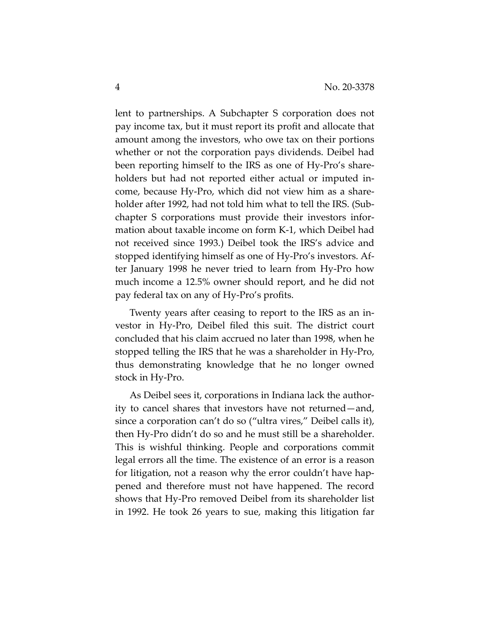lent to partnerships. A Subchapter S corporation does not pay income tax, but it must report its profit and allocate that amount among the investors, who owe tax on their portions whether or not the corporation pays dividends. Deibel had been reporting himself to the IRS as one of Hy-Pro's shareholders but had not reported either actual or imputed income, because Hy-Pro, which did not view him as a shareholder after 1992, had not told him what to tell the IRS. (Subchapter S corporations must provide their investors information about taxable income on form K-1, which Deibel had not received since 1993.) Deibel took the IRS's advice and stopped identifying himself as one of Hy-Pro's investors. After January 1998 he never tried to learn from Hy-Pro how much income a 12.5% owner should report, and he did not pay federal tax on any of Hy-Pro's profits.

Twenty years after ceasing to report to the IRS as an investor in Hy-Pro, Deibel filed this suit. The district court concluded that his claim accrued no later than 1998, when he stopped telling the IRS that he was a shareholder in Hy-Pro, thus demonstrating knowledge that he no longer owned stock in Hy-Pro.

As Deibel sees it, corporations in Indiana lack the authority to cancel shares that investors have not returned—and, since a corporation can't do so ("ultra vires," Deibel calls it), then Hy-Pro didn't do so and he must still be a shareholder. This is wishful thinking. People and corporations commit legal errors all the time. The existence of an error is a reason for litigation, not a reason why the error couldn't have happened and therefore must not have happened. The record shows that Hy-Pro removed Deibel from its shareholder list in 1992. He took 26 years to sue, making this litigation far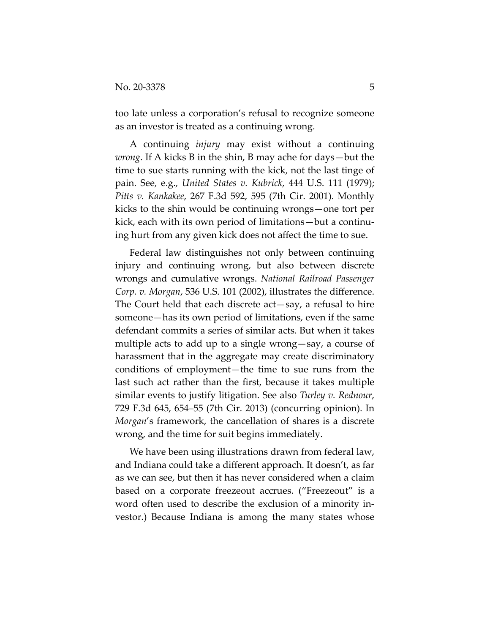too late unless a corporation's refusal to recognize someone as an investor is treated as a continuing wrong.

A continuing *injury* may exist without a continuing *wrong*. If A kicks B in the shin, B may ache for days—but the time to sue starts running with the kick, not the last tinge of pain. See, e.g., *United States v. Kubrick*, 444 U.S. 111 (1979); *Pitts v. Kankakee, 267 F.3d 592, 595 (7th Cir. 2001).* Monthly kicks to the shin would be continuing wrongs—one tort per kick, each with its own period of limitations—but a continuing hurt from any given kick does not affect the time to sue.

Federal law distinguishes not only between continuing injury and continuing wrong, but also between discrete wrongs and cumulative wrongs. *National Railroad Passenger Corp. v. Morgan*, 536 U.S. 101 (2002), illustrates the difference. The Court held that each discrete act—say, a refusal to hire someone—has its own period of limitations, even if the same defendant commits a series of similar acts. But when it takes multiple acts to add up to a single wrong—say, a course of harassment that in the aggregate may create discriminatory conditions of employment—the time to sue runs from the last such act rather than the first, because it takes multiple similar events to justify litigation. See also *Turley v. Rednour*, 729 F.3d 645, 654–55 (7th Cir. 2013) (concurring opinion). In *Morgan*'s framework, the cancellation of shares is a discrete wrong, and the time for suit begins immediately.

We have been using illustrations drawn from federal law, and Indiana could take a different approach. It doesn't, as far as we can see, but then it has never considered when a claim based on a corporate freezeout accrues. ("Freezeout" is a word often used to describe the exclusion of a minority investor.) Because Indiana is among the many states whose